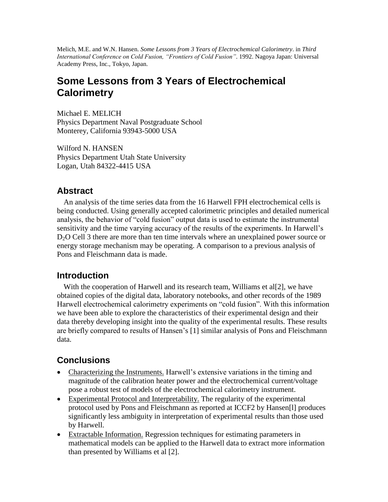Melich, M.E. and W.N. Hansen. *Some Lessons from 3 Years of Electrochemical Calorimetry*. in *Third International Conference on Cold Fusion, "Frontiers of Cold Fusion".* 1992. Nagoya Japan: Universal Academy Press, Inc., Tokyo, Japan.

# **Some Lessons from 3 Years of Electrochemical Calorimetry**

Michael E. MELICH Physics Department Naval Postgraduate School Monterey, California 93943-5000 USA

Wilford N. HANSEN Physics Department Utah State University Logan, Utah 84322-4415 USA

### **Abstract**

An analysis of the time series data from the 16 Harwell FPH electrochemical cells is being conducted. Using generally accepted calorimetric principles and detailed numerical analysis, the behavior of "cold fusion" output data is used to estimate the instrumental sensitivity and the time varying accuracy of the results of the experiments. In Harwell's D<sub>2</sub>O Cell 3 there are more than ten time intervals where an unexplained power source or energy storage mechanism may be operating. A comparison to a previous analysis of Pons and Fleischmann data is made.

### **Introduction**

With the cooperation of Harwell and its research team, Williams et al. [2], we have obtained copies of the digital data, laboratory notebooks, and other records of the 1989 Harwell electrochemical calorimetry experiments on "cold fusion". With this information we have been able to explore the characteristics of their experimental design and their data thereby developing insight into the quality of the experimental results. These results are briefly compared to results of Hansen's [1] similar analysis of Pons and Fleischmann data.

## **Conclusions**

- Characterizing the Instruments. Harwell's extensive variations in the timing and magnitude of the calibration heater power and the electrochemical current/voltage pose a robust test of models of the electrochemical calorimetry instrument.
- Experimental Protocol and Interpretability. The regularity of the experimental protocol used by Pons and Fleischmann as reported at ICCF2 by Hansen[l] produces significantly less ambiguity in interpretation of experimental results than those used by Harwell.
- Extractable Information. Regression techniques for estimating parameters in mathematical models can be applied to the Harwell data to extract more information than presented by Williams et al [2].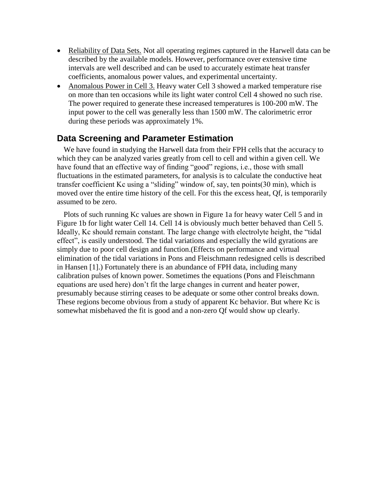- Reliability of Data Sets. Not all operating regimes captured in the Harwell data can be described by the available models. However, performance over extensive time intervals are well described and can be used to accurately estimate heat transfer coefficients, anomalous power values, and experimental uncertainty.
- Anomalous Power in Cell 3. Heavy water Cell 3 showed a marked temperature rise on more than ten occasions while its light water control Cell 4 showed no such rise. The power required to generate these increased temperatures is 100-200 mW. The input power to the cell was generally less than 1500 mW. The calorimetric error during these periods was approximately 1%.

#### **Data Screening and Parameter Estimation**

We have found in studying the Harwell data from their FPH cells that the accuracy to which they can be analyzed varies greatly from cell to cell and within a given cell. We have found that an effective way of finding "good" regions, i.e., those with small fluctuations in the estimated parameters, for analysis is to calculate the conductive heat transfer coefficient Kc using a "sliding" window of, say, ten points(30 min), which is moved over the entire time history of the cell. For this the excess heat, Qf, is temporarily assumed to be zero.

Plots of such running Kc values are shown in Figure 1a for heavy water Cell 5 and in Figure 1b for light water Cell 14. Cell 14 is obviously much better behaved than Cell 5. Ideally, Kc should remain constant. The large change with electrolyte height, the "tidal" effect", is easily understood. The tidal variations and especially the wild gyrations are simply due to poor cell design and function.(Effects on performance and virtual elimination of the tidal variations in Pons and Fleischmann redesigned cells is described in Hansen [1].) Fortunately there is an abundance of FPH data, including many calibration pulses of known power. Sometimes the equations (Pons and Fleischmann equations are used here) don't fit the large changes in current and heater power, presumably because stirring ceases to be adequate or some other control breaks down. These regions become obvious from a study of apparent Kc behavior. But where Kc is somewhat misbehaved the fit is good and a non-zero Qf would show up clearly.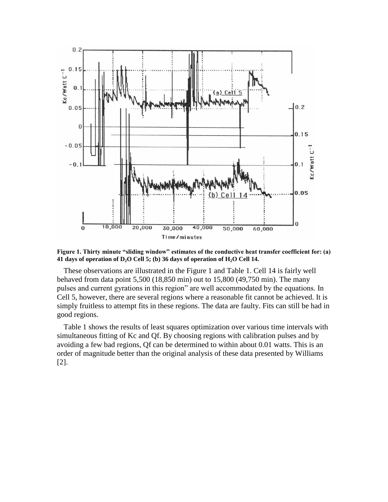

Figure 1. Thirty minute "sliding window" estimates of the conductive heat transfer coefficient for: (a) **41 days of operation of D2O Cell 5; (b) 36 days of operation of H2O Cell 14.**

These observations are illustrated in the Figure 1 and Table 1. Cell 14 is fairly well behaved from data point 5,500 (18,850 min) out to 15,800 (49,750 min). The many pulses and current gyrations in this region" are well accommodated by the equations. In Cell 5, however, there are several regions where a reasonable fit cannot be achieved. It is simply fruitless to attempt fits in these regions. The data are faulty. Fits can still be had in good regions.

Table 1 shows the results of least squares optimization over various time intervals with simultaneous fitting of Kc and Qf. By choosing regions with calibration pulses and by avoiding a few bad regions, Qf can be determined to within about 0.01 watts. This is an order of magnitude better than the original analysis of these data presented by Williams [2].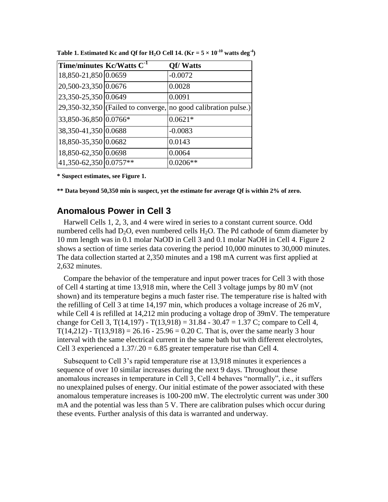| Time/minutes Kc/Watts C <sup>-1</sup> | <b>Qf/Watts</b>                                                  |
|---------------------------------------|------------------------------------------------------------------|
| 18,850-21,850 0.0659                  | $-0.0072$                                                        |
| 20,500-23,350 0.0676                  | 0.0028                                                           |
| 23,350-25,350 0.0649                  | 0.0091                                                           |
|                                       | $29,350-32,350$ (Failed to converge, no good calibration pulse.) |
| 33,850-36,850 0.0766*                 | $0.0621*$                                                        |
| 38,350-41,350 0.0688                  | $-0.0083$                                                        |
| 18,850-35,350 0.0682                  | 0.0143                                                           |
| 18,850-62,350 0.0698                  | 0.0064                                                           |
| 41,350-62,350 0.0757**                | $0.0206**$                                                       |

**Table 1. Estimated Kc and Qf for H<sub>2</sub>O** Cell 14.  $(Kr = 5 \times 10^{-10}$  watts deg<sup>-4</sup>)

**\* Suspect estimates, see Figure 1.**

**\*\* Data beyond 50,350 min is suspect, yet the estimate for average Qf is within 2% of zero.**

#### **Anomalous Power in Cell 3**

Harwell Cells 1, 2, 3, and 4 were wired in series to a constant current source. Odd numbered cells had  $D_2O$ , even numbered cells  $H_2O$ . The Pd cathode of 6mm diameter by 10 mm length was in 0.1 molar NaOD in Cell 3 and 0.1 molar NaOH in Cell 4. Figure 2 shows a section of time series data covering the period 10,000 minutes to 30,000 minutes. The data collection started at 2,350 minutes and a 198 mA current was first applied at 2,632 minutes.

Compare the behavior of the temperature and input power traces for Cell 3 with those of Cell 4 starting at time 13,918 min, where the Cell 3 voltage jumps by 80 mV (not shown) and its temperature begins a much faster rise. The temperature rise is halted with the refilling of Cell 3 at time 14,197 min, which produces a voltage increase of 26 mV, while Cell 4 is refilled at 14,212 min producing a voltage drop of 39mV. The temperature change for Cell 3,  $T(14,197) - T(13,918) = 31.84 - 30.47 = 1.37$  C; compare to Cell 4,  $T(14,212)$  -  $T(13,918) = 26.16 - 25.96 = 0.20$  C. That is, over the same nearly 3 hour interval with the same electrical current in the same bath but with different electrolytes, Cell 3 experienced a  $1.37/0.20 = 6.85$  greater temperature rise than Cell 4.

Subsequent to Cell 3's rapid temperature rise at 13,918 minutes it experiences a sequence of over 10 similar increases during the next 9 days. Throughout these anomalous increases in temperature in Cell 3, Cell 4 behaves "normally", i.e., it suffers no unexplained pulses of energy. Our initial estimate of the power associated with these anomalous temperature increases is 100-200 mW. The electrolytic current was under 300 mA and the potential was less than 5 V. There are calibration pulses which occur during these events. Further analysis of this data is warranted and underway.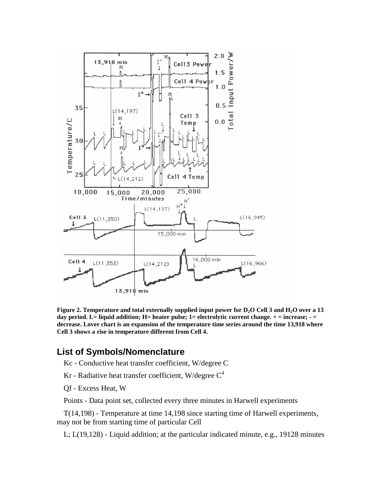

**Figure 2. Temperature and total externally supplied input power for D2O Cell 3 and H2O over a 13 day period. L= liquid addition; H= heater pulse; 1= electrolytic current change. + = increase; - = decrease. Lover chart is an expansion of the temperature time series around the time 13,918 where Cell 3 shows a rise in temperature different from Cell 4.**

#### **List of Symbols/Nomenclature**

Kc - Conductive heat transfer coefficient, W/degree C

Kr - Radiative heat transfer coefficient, W/degree  $C<sup>4</sup>$ 

Qf - Excess Heat, W

Points - Data point set, collected every three minutes in Harwell experiments

T(14,198) - Temperature at time 14,198 since starting time of Harwell experiments, may not be from starting time of particular Cell

L; L(19,128) - Liquid addition; at the particular indicated minute, e.g., 19128 minutes